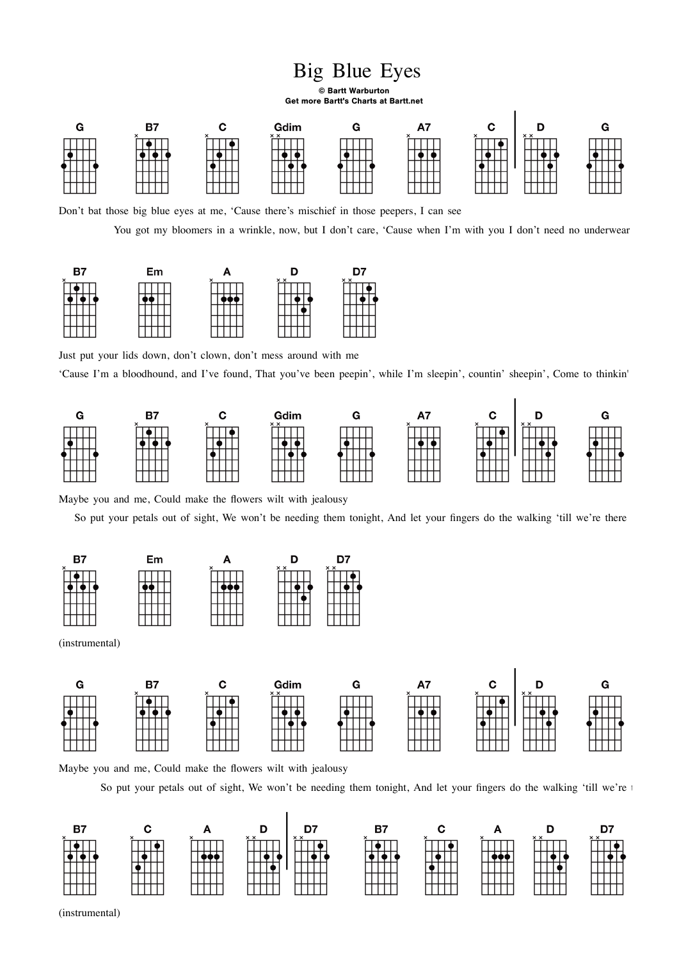## Big Blue Eyes

© Bartt Warburton Get more Bartt's Charts at Bartt.net



Don't bat those big blue eyes at me, 'Cause there's mischief in those peepers, I can see

You got my bloomers in a wrinkle, now, but I don't care, 'Cause when I'm with you I don't need no underwear



Just put your lids down, don't clown, don't mess around with me

'Cause I'm a bloodhound, and I've found, That you've been peepin', while I'm sleepin', countin' sheepin', Come to thinkin'



Maybe you and me, Could make the flowers wilt with jealousy

So put your petals out of sight, We won't be needing them tonight, And let your fingers do the walking 'till we're there





Maybe you and me, Could make the flowers wilt with jealousy

So put your petals out of sight, We won't be needing them tonight, And let your fingers do the walking 'till we're t



(instrumental)